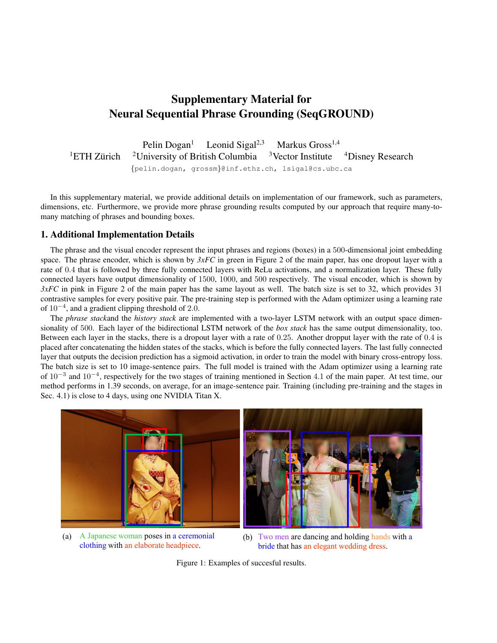## Supplementary Material for Neural Sequential Phrase Grounding (SeqGROUND)

Pelin Dogan<sup>1</sup> Leonid Sigal<sup>2,3</sup> Markus Gross<sup>1,4</sup>  ${}^{1}ETH$  Zürich <sup>2</sup>University of British Columbia  $3$  Vector Institute  $4$ Disney Research {pelin.dogan, grossm}@inf.ethz.ch, lsigal@cs.ubc.ca

In this supplementary material, we provide additional details on implementation of our framework, such as parameters, dimensions, etc. Furthermore, we provide more phrase grounding results computed by our approach that require many-tomany matching of phrases and bounding boxes.

## 1. Additional Implementation Details

The phrase and the visual encoder represent the input phrases and regions (boxes) in a 500-dimensional joint embedding space. The phrase encoder, which is shown by *3xFC* in green in Figure 2 of the main paper, has one dropout layer with a rate of 0.4 that is followed by three fully connected layers with ReLu activations, and a normalization layer. These fully connected layers have output dimensionality of 1500, 1000, and 500 respectively. The visual encoder, which is shown by *3xFC* in pink in Figure 2 of the main paper has the same layout as well. The batch size is set to 32, which provides 31 contrastive samples for every positive pair. The pre-training step is performed with the Adam optimizer using a learning rate of  $10^{-4}$ , and a gradient clipping threshold of 2.0.

The *phrase stack*and the *history stack* are implemented with a two-layer LSTM network with an output space dimensionality of 500. Each layer of the bidirectional LSTM network of the *box stack* has the same output dimensionality, too. Between each layer in the stacks, there is a dropout layer with a rate of 0.25. Another dropput layer with the rate of 0.4 is placed after concatenating the hidden states of the stacks, which is before the fully connected layers. The last fully connected layer that outputs the decision prediction has a sigmoid activation, in order to train the model with binary cross-entropy loss. The batch size is set to 10 image-sentence pairs. The full model is trained with the Adam optimizer using a learning rate of  $10^{-3}$  and  $10^{-4}$ , respectively for the two stages of training mentioned in Section 4.1 of the main paper. At test time, our method performs in 1.39 seconds, on average, for an image-sentence pair. Training (including pre-training and the stages in Sec. 4.1) is close to 4 days, using one NVIDIA Titan X.

<span id="page-0-0"></span>

(a) A Japanese woman poses in a ceremonial (b) clothing with an elaborate headpiece.



(b) Two men are dancing and holding hands with a bride that has an elegant wedding dress.

Figure 1: Examples of succesful results.